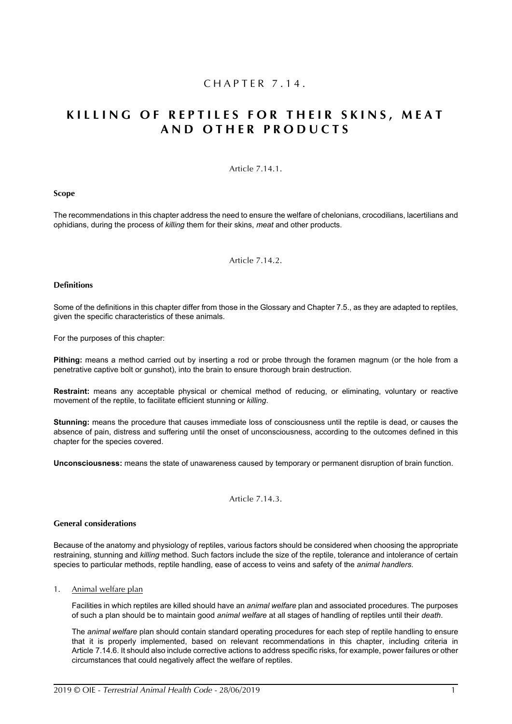## CHAPTER 7.14.

# **KILLING OF REPTILES FOR THEIR SKINS, MEAT AND OTHER PRODUCTS**

## Article 7.14.1.

#### **Scope**

The recommendations in this chapter address the need to ensure the welfare of chelonians, crocodilians, lacertilians and ophidians, during the process of *killing* them for their skins, *meat* and other products.

Article 7.14.2.

#### <span id="page-0-0"></span>**Definitions**

Some of the definitions in this chapter differ from those in the Glossary and Chapter 7.5., as they are adapted to reptiles, given the specific characteristics of these animals.

For the purposes of this chapter:

**Pithing:** means a method carried out by inserting a rod or probe through the foramen magnum (or the hole from a penetrative captive bolt or gunshot), into the brain to ensure thorough brain destruction.

**Restraint:** means any acceptable physical or chemical method of reducing, or eliminating, voluntary or reactive movement of the reptile, to facilitate efficient stunning or *killing*.

**Stunning:** means the procedure that causes immediate loss of consciousness until the reptile is dead, or causes the absence of pain, distress and suffering until the onset of unconsciousness, according to the outcomes defined in this chapter for the species covered.

**Unconsciousness:** means the state of unawareness caused by temporary or permanent disruption of brain function.

#### Article 7.14.3.

## **General considerations**

Because of the anatomy and physiology of reptiles, various factors should be considered when choosing the appropriate restraining, stunning and *killing* method. Such factors include the size of the reptile, tolerance and intolerance of certain species to particular methods, reptile handling, ease of access to veins and safety of the *animal handlers*.

## 1. Animal welfare plan

Facilities in which reptiles are killed should have an *animal welfare* plan and associated procedures. The purposes of such a plan should be to maintain good *animal welfare* at all stages of handling of reptiles until their *death*.

The *animal welfare* plan should contain standard operating procedures for each step of reptile handling to ensure that it is properly implemented, based on relevant recommendations in this chapter, including criteria in Article [7.14.6.](#page-2-0) It should also include corrective actions to address specific risks, for example, power failures or other circumstances that could negatively affect the welfare of reptiles.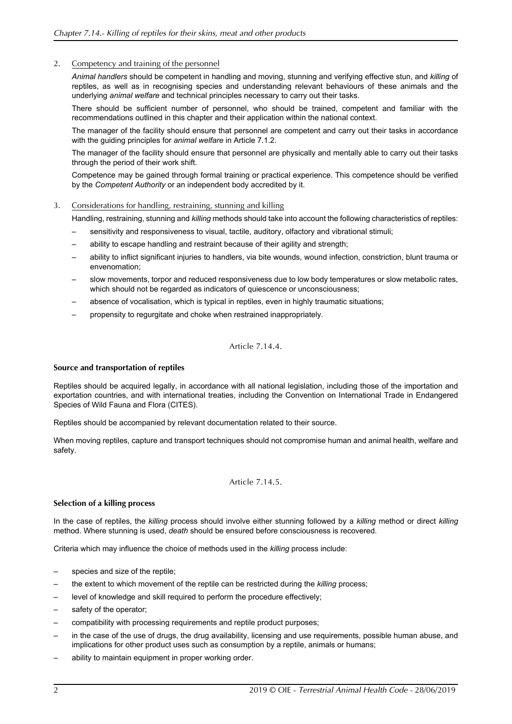## 2. Competency and training of the personnel

*Animal handlers* should be competent in handling and moving, stunning and verifying effective stun, and *killing* of reptiles, as well as in recognising species and understanding relevant behaviours of these animals and the underlying *animal welfare* and technical principles necessary to carry out their tasks.

There should be sufficient number of personnel, who should be trained, competent and familiar with the recommendations outlined in this chapter and their application within the national context.

The manager of the facility should ensure that personnel are competent and carry out their tasks in accordance with the guiding principles for *animal welfare* in Article 7.1.2.

The manager of the facility should ensure that personnel are physically and mentally able to carry out their tasks through the period of their work shift.

Competence may be gained through formal training or practical experience. This competence should be verified by the *Competent Authority* or an independent body accredited by it.

#### 3. Considerations for handling, restraining, stunning and killing

Handling, restraining, stunning and *killing* methods should take into account the following characteristics of reptiles:

- sensitivity and responsiveness to visual, tactile, auditory, olfactory and vibrational stimuli;
- ability to escape handling and restraint because of their agility and strength;
- ability to inflict significant injuries to handlers, via bite wounds, wound infection, constriction, blunt trauma or envenomation;
- slow movements, torpor and reduced responsiveness due to low body temperatures or slow metabolic rates, which should not be regarded as indicators of quiescence or unconsciousness:
- absence of vocalisation, which is typical in reptiles, even in highly traumatic situations;
- propensity to regurgitate and choke when restrained inappropriately.

## Article 7.14.4.

#### **Source and transportation of reptiles**

Reptiles should be acquired legally, in accordance with all national legislation, including those of the importation and exportation countries, and with international treaties, including the Convention on International Trade in Endangered Species of Wild Fauna and Flora (CITES).

Reptiles should be accompanied by relevant documentation related to their source.

When moving reptiles, capture and transport techniques should not compromise human and animal health, welfare and safety.

#### Article 7.14.5.

## **Selection of a killing process**

In the case of reptiles, the *killing* process should involve either stunning followed by a *killing* method or direct *killing* method. Where stunning is used, *death* should be ensured before consciousness is recovered.

Criteria which may influence the choice of methods used in the *killing* process include:

- species and size of the reptile;
- the extent to which movement of the reptile can be restricted during the *killing* process;
- level of knowledge and skill required to perform the procedure effectively;
- safety of the operator;
- compatibility with processing requirements and reptile product purposes;
- in the case of the use of drugs, the drug availability, licensing and use requirements, possible human abuse, and implications for other product uses such as consumption by a reptile, animals or humans;
- ability to maintain equipment in proper working order.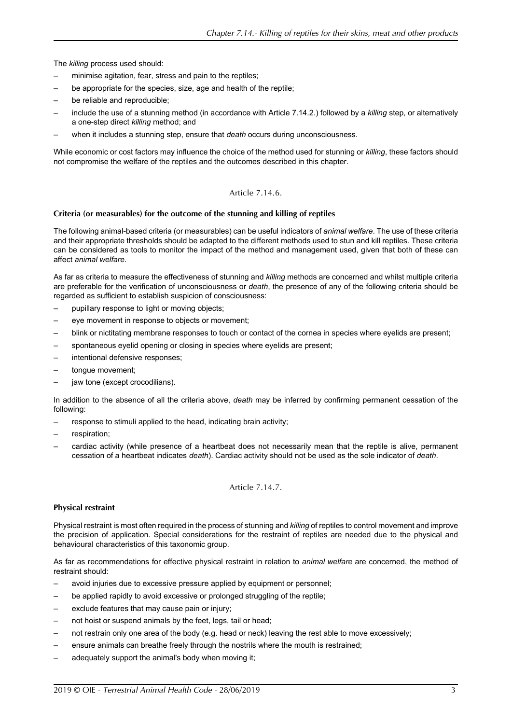The *killing* process used should:

- minimise agitation, fear, stress and pain to the reptiles;
- be appropriate for the species, size, age and health of the reptile;
- be reliable and reproducible;
- include the use of a stunning method (in accordance with Article [7.14.2.](#page-0-0)) followed by a *killing* step, or alternatively a one-step direct *killing* method; and
- when it includes a stunning step, ensure that *death* occurs during unconsciousness.

While economic or cost factors may influence the choice of the method used for stunning or *killing*, these factors should not compromise the welfare of the reptiles and the outcomes described in this chapter.

#### Article 7.14.6.

#### <span id="page-2-0"></span>**Criteria (or measurables) for the outcome of the stunning and killing of reptiles**

The following animal-based criteria (or measurables) can be useful indicators of *animal welfare*. The use of these criteria and their appropriate thresholds should be adapted to the different methods used to stun and kill reptiles. These criteria can be considered as tools to monitor the impact of the method and management used, given that both of these can affect *animal welfare*.

As far as criteria to measure the effectiveness of stunning and *killing* methods are concerned and whilst multiple criteria are preferable for the verification of unconsciousness or *death*, the presence of any of the following criteria should be regarded as sufficient to establish suspicion of consciousness:

- pupillary response to light or moving objects;
- eye movement in response to objects or movement;
- blink or nictitating membrane responses to touch or contact of the cornea in species where eyelids are present;
- spontaneous eyelid opening or closing in species where eyelids are present;
- intentional defensive responses;
- tongue movement;
- jaw tone (except crocodilians).

In addition to the absence of all the criteria above, *death* may be inferred by confirming permanent cessation of the following:

- response to stimuli applied to the head, indicating brain activity;
- respiration:
- cardiac activity (while presence of a heartbeat does not necessarily mean that the reptile is alive, permanent cessation of a heartbeat indicates *death*). Cardiac activity should not be used as the sole indicator of *death*.

Article 7.14.7.

#### <span id="page-2-1"></span>**Physical restraint**

Physical restraint is most often required in the process of stunning and *killing* of reptiles to control movement and improve the precision of application. Special considerations for the restraint of reptiles are needed due to the physical and behavioural characteristics of this taxonomic group.

As far as recommendations for effective physical restraint in relation to *animal welfare* are concerned, the method of restraint should:

- avoid injuries due to excessive pressure applied by equipment or personnel;
- be applied rapidly to avoid excessive or prolonged struggling of the reptile;
- exclude features that may cause pain or injury;
- not hoist or suspend animals by the feet, legs, tail or head;
- not restrain only one area of the body (e.g. head or neck) leaving the rest able to move excessively;
- ensure animals can breathe freely through the nostrils where the mouth is restrained;
- adequately support the animal's body when moving it;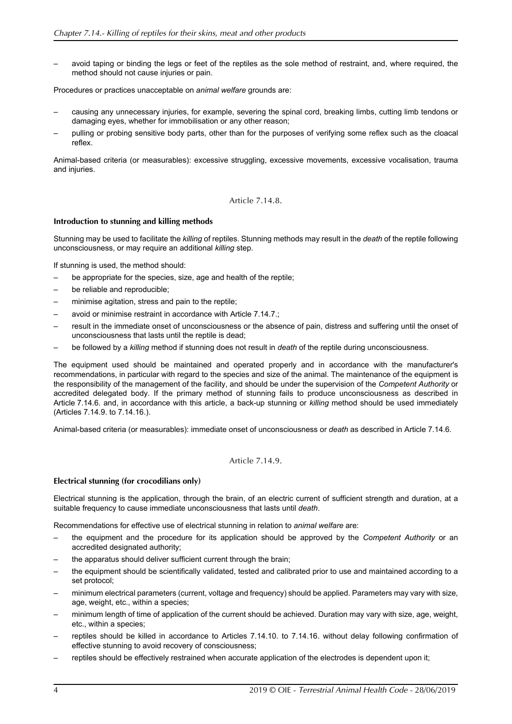– avoid taping or binding the legs or feet of the reptiles as the sole method of restraint, and, where required, the method should not cause injuries or pain.

Procedures or practices unacceptable on *animal welfare* grounds are:

- causing any unnecessary injuries, for example, severing the spinal cord, breaking limbs, cutting limb tendons or damaging eyes, whether for immobilisation or any other reason;
- pulling or probing sensitive body parts, other than for the purposes of verifying some reflex such as the cloacal reflex.

Animal-based criteria (or measurables): excessive struggling, excessive movements, excessive vocalisation, trauma and injuries.

#### Article 7.14.8.

#### **Introduction to stunning and killing methods**

Stunning may be used to facilitate the *killing* of reptiles. Stunning methods may result in the *death* of the reptile following unconsciousness, or may require an additional *killing* step.

If stunning is used, the method should:

- be appropriate for the species, size, age and health of the reptile;
- be reliable and reproducible;
- minimise agitation, stress and pain to the reptile;
- avoid or minimise restraint in accordance with Article [7.14.7.;](#page-2-1)
- result in the immediate onset of unconsciousness or the absence of pain, distress and suffering until the onset of unconsciousness that lasts until the reptile is dead;
- be followed by a *killing* method if stunning does not result in *death* of the reptile during unconsciousness.

The equipment used should be maintained and operated properly and in accordance with the manufacturer's recommendations, in particular with regard to the species and size of the animal. The maintenance of the equipment is the responsibility of the management of the facility, and should be under the supervision of the *Competent Authority* or accredited delegated body. If the primary method of stunning fails to produce unconsciousness as described in Article [7.14.6.](#page-2-0) and, in accordance with this article, a back-up stunning or *killing* method should be used immediately (Articles [7.14.9.](#page-3-0) to [7.14.16.\)](#page-6-0).

Animal-based criteria (or measurables): immediate onset of unconsciousness or *death* as described in Article [7.14.6.](#page-2-0)

## Article 7.14.9.

## <span id="page-3-0"></span>**Electrical stunning (for crocodilians only)**

Electrical stunning is the application, through the brain, of an electric current of sufficient strength and duration, at a suitable frequency to cause immediate unconsciousness that lasts until *death*.

Recommendations for effective use of electrical stunning in relation to *animal welfare* are:

- the equipment and the procedure for its application should be approved by the *Competent Authority* or an accredited designated authority;
- the apparatus should deliver sufficient current through the brain;
- the equipment should be scientifically validated, tested and calibrated prior to use and maintained according to a set protocol;
- minimum electrical parameters (current, voltage and frequency) should be applied. Parameters may vary with size, age, weight, etc., within a species;
- minimum length of time of application of the current should be achieved. Duration may vary with size, age, weight, etc., within a species;
- reptiles should be killed in accordance to Articles [7.14.10.](#page-4-0) to [7.14.16.](#page-6-0) without delay following confirmation of effective stunning to avoid recovery of consciousness;
- reptiles should be effectively restrained when accurate application of the electrodes is dependent upon it;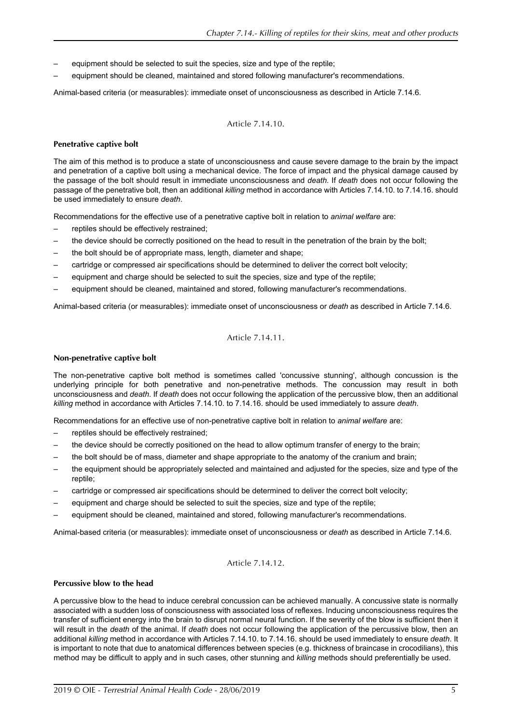- equipment should be selected to suit the species, size and type of the reptile;
- equipment should be cleaned, maintained and stored following manufacturer's recommendations.

Animal-based criteria (or measurables): immediate onset of unconsciousness as described in Article [7.14.6.](#page-2-0)

## Article 7.14.10.

#### <span id="page-4-0"></span>**Penetrative captive bolt**

The aim of this method is to produce a state of unconsciousness and cause severe damage to the brain by the impact and penetration of a captive bolt using a mechanical device. The force of impact and the physical damage caused by the passage of the bolt should result in immediate unconsciousness and *death*. If *death* does not occur following the passage of the penetrative bolt, then an additional *killing* method in accordance with Articles [7.14.10.](#page-4-0) to [7.14.16.](#page-6-0) should be used immediately to ensure *death*.

Recommendations for the effective use of a penetrative captive bolt in relation to *animal welfare* are:

- reptiles should be effectively restrained;
- the device should be correctly positioned on the head to result in the penetration of the brain by the bolt;
- the bolt should be of appropriate mass, length, diameter and shape;
- cartridge or compressed air specifications should be determined to deliver the correct bolt velocity;
- equipment and charge should be selected to suit the species, size and type of the reptile;
- equipment should be cleaned, maintained and stored, following manufacturer's recommendations.

Animal-based criteria (or measurables): immediate onset of unconsciousness or *death* as described in Article [7.14.6.](#page-2-0)

## Article 7.14.11.

#### **Non-penetrative captive bolt**

The non-penetrative captive bolt method is sometimes called 'concussive stunning', although concussion is the underlying principle for both penetrative and non-penetrative methods. The concussion may result in both unconsciousness and *death*. If *death* does not occur following the application of the percussive blow, then an additional *killing* method in accordance with Articles [7.14.10.](#page-4-0) to [7.14.16.](#page-6-0) should be used immediately to assure *death*.

Recommendations for an effective use of non-penetrative captive bolt in relation to *animal welfare* are:

- reptiles should be effectively restrained;
- the device should be correctly positioned on the head to allow optimum transfer of energy to the brain;
- the bolt should be of mass, diameter and shape appropriate to the anatomy of the cranium and brain;
- the equipment should be appropriately selected and maintained and adjusted for the species, size and type of the reptile;
- cartridge or compressed air specifications should be determined to deliver the correct bolt velocity;
- equipment and charge should be selected to suit the species, size and type of the reptile;
- equipment should be cleaned, maintained and stored, following manufacturer's recommendations.

Animal-based criteria (or measurables): immediate onset of unconsciousness or *death* as described in Article [7.14.6.](#page-2-0)

## Article 7.14.12.

#### **Percussive blow to the head**

A percussive blow to the head to induce cerebral concussion can be achieved manually. A concussive state is normally associated with a sudden loss of consciousness with associated loss of reflexes. Inducing unconsciousness requires the transfer of sufficient energy into the brain to disrupt normal neural function. If the severity of the blow is sufficient then it will result in the *death* of the animal. If *death* does not occur following the application of the percussive blow, then an additional *killing* method in accordance with Articles [7.14.10.](#page-4-0) to [7.14.16.](#page-6-0) should be used immediately to ensure *death*. It is important to note that due to anatomical differences between species (e.g. thickness of braincase in crocodilians), this method may be difficult to apply and in such cases, other stunning and *killing* methods should preferentially be used.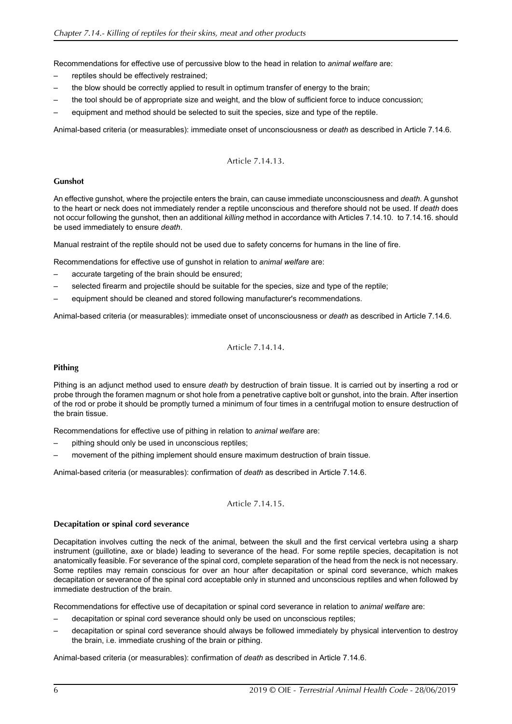Recommendations for effective use of percussive blow to the head in relation to *animal welfare* are:

- reptiles should be effectively restrained;
- the blow should be correctly applied to result in optimum transfer of energy to the brain;
- the tool should be of appropriate size and weight, and the blow of sufficient force to induce concussion;
- equipment and method should be selected to suit the species, size and type of the reptile.

Animal-based criteria (or measurables): immediate onset of unconsciousness or *death* as described in Article [7.14.6.](#page-2-0)

## Article 7.14.13.

## **Gunshot**

An effective gunshot, where the projectile enters the brain, can cause immediate unconsciousness and *death*. A gunshot to the heart or neck does not immediately render a reptile unconscious and therefore should not be used. If *death* does not occur following the gunshot, then an additional *killing* method in accordance with Articles [7.14.10.](#page-4-0) to [7.14.16.](#page-6-0) should be used immediately to ensure *death*.

Manual restraint of the reptile should not be used due to safety concerns for humans in the line of fire.

Recommendations for effective use of gunshot in relation to *animal welfare* are:

- accurate targeting of the brain should be ensured;
- selected firearm and projectile should be suitable for the species, size and type of the reptile;
- equipment should be cleaned and stored following manufacturer's recommendations.

Animal-based criteria (or measurables): immediate onset of unconsciousness or *death* as described in Article [7.14.6.](#page-2-0)

Article 7.14.14.

## **Pithing**

Pithing is an adjunct method used to ensure *death* by destruction of brain tissue. It is carried out by inserting a rod or probe through the foramen magnum or shot hole from a penetrative captive bolt or gunshot, into the brain. After insertion of the rod or probe it should be promptly turned a minimum of four times in a centrifugal motion to ensure destruction of the brain tissue.

Recommendations for effective use of pithing in relation to *animal welfare* are:

- pithing should only be used in unconscious reptiles;
- movement of the pithing implement should ensure maximum destruction of brain tissue.

Animal-based criteria (or measurables): confirmation of *death* as described in Article [7.14.6.](#page-2-0)

## Article 7.14.15.

## **Decapitation or spinal cord severance**

Decapitation involves cutting the neck of the animal, between the skull and the first cervical vertebra using a sharp instrument (guillotine, axe or blade) leading to severance of the head. For some reptile species, decapitation is not anatomically feasible. For severance of the spinal cord, complete separation of the head from the neck is not necessary. Some reptiles may remain conscious for over an hour after decapitation or spinal cord severance, which makes decapitation or severance of the spinal cord acceptable only in stunned and unconscious reptiles and when followed by immediate destruction of the brain.

Recommendations for effective use of decapitation or spinal cord severance in relation to *animal welfare* are:

- decapitation or spinal cord severance should only be used on unconscious reptiles;
- decapitation or spinal cord severance should always be followed immediately by physical intervention to destroy the brain, i.e. immediate crushing of the brain or pithing.

Animal-based criteria (or measurables): confirmation of *death* as described in Article [7.14.6.](#page-2-0)